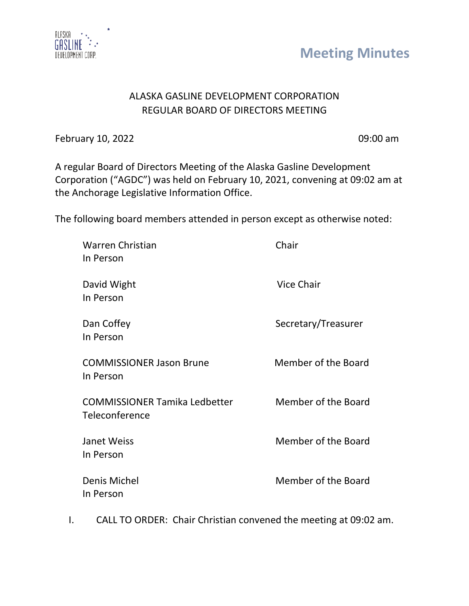

**Meeting Minutes**

## ALASKA GASLINE DEVELOPMENT CORPORATION REGULAR BOARD OF DIRECTORS MEETING

February 10, 2022 **09:00 am** 

A regular Board of Directors Meeting of the Alaska Gasline Development Corporation ("AGDC") was held on February 10, 2021, convening at 09:02 am at the Anchorage Legislative Information Office.

The following board members attended in person except as otherwise noted:

| <b>Warren Christian</b><br>In Person                   | Chair               |
|--------------------------------------------------------|---------------------|
| David Wight<br>In Person                               | <b>Vice Chair</b>   |
| Dan Coffey<br>In Person                                | Secretary/Treasurer |
| <b>COMMISSIONER Jason Brune</b><br>In Person           | Member of the Board |
| <b>COMMISSIONER Tamika Ledbetter</b><br>Teleconference | Member of the Board |
| Janet Weiss<br>In Person                               | Member of the Board |
| Denis Michel<br>In Person                              | Member of the Board |

I. CALL TO ORDER: Chair Christian convened the meeting at 09:02 am.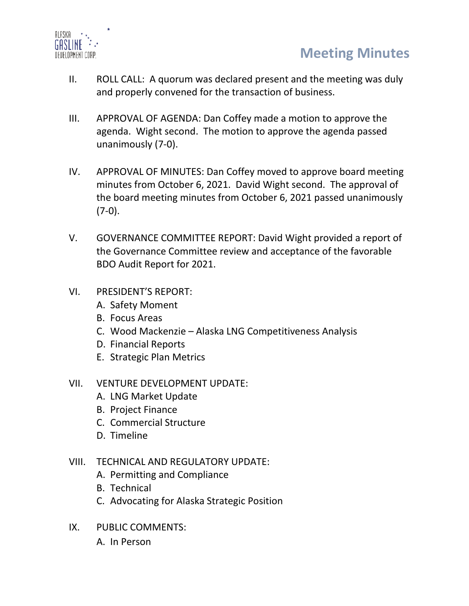

- II. ROLL CALL: A quorum was declared present and the meeting was duly and properly convened for the transaction of business.
- III. APPROVAL OF AGENDA: Dan Coffey made a motion to approve the agenda. Wight second. The motion to approve the agenda passed unanimously (7-0).
- IV. APPROVAL OF MINUTES: Dan Coffey moved to approve board meeting minutes from October 6, 2021. David Wight second. The approval of the board meeting minutes from October 6, 2021 passed unanimously  $(7-0)$ .
- V. GOVERNANCE COMMITTEE REPORT: David Wight provided a report of the Governance Committee review and acceptance of the favorable BDO Audit Report for 2021.
- VI. PRESIDENT'S REPORT:
	- A. Safety Moment
	- B. Focus Areas
	- C. Wood Mackenzie Alaska LNG Competitiveness Analysis
	- D. Financial Reports
	- E. Strategic Plan Metrics
- VII. VENTURE DEVELOPMENT UPDATE:
	- A. LNG Market Update
	- B. Project Finance
	- C. Commercial Structure
	- D. Timeline
- VIII. TECHNICAL AND REGULATORY UPDATE:
	- A. Permitting and Compliance
	- B. Technical
	- C. Advocating for Alaska Strategic Position
- IX. PUBLIC COMMENTS: A. In Person